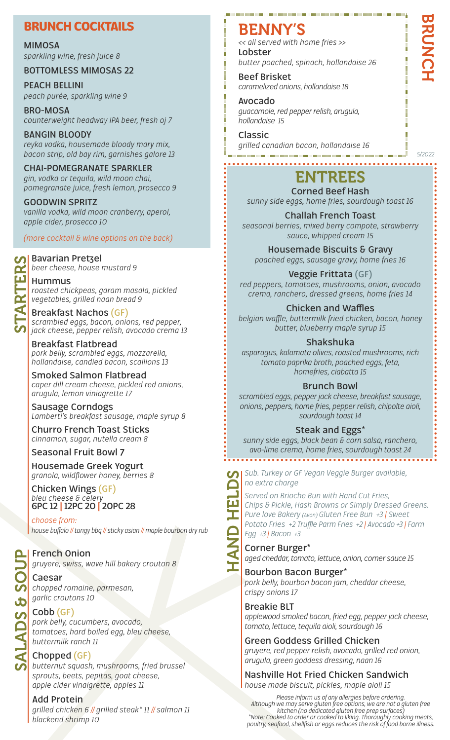### **BRUNCH COCKTAILS**

### **MIMOSA**

*sparkling wine, fresh juice 8*

### **BOTTOMLESS MIMOSAS 22**

**PEACH BELLINI** *peach purée, sparkling wine 9*

**BRO-MOSA** *counterweight headway IPA beer, fresh oj 7*

**BANGIN BLOODY** *reyka vodka, housemade bloody mary mix, bacon strip, old bay rim, garnishes galore 13*

**CHAI-POMEGRANATE SPARKLER** *gin, vodka or tequila, wild moon chai, pomegranate juice, fresh lemon, prosecco 9*

**GOODWIN SPRITZ** *vanilla vodka, wild moon cranberry, aperol, apple cider, prosecco 10*

*(more cocktail & wine options on the back)*

# **Bavarian Pretzel** STARTERS

*beer cheese, house mustard 9*

**Hummus**

*roasted chickpeas, garam masala, pickled vegetables, grilled naan bread 9*

**Breakfast Nachos (GF)** *scrambled eggs, bacon, onions, red pepper, jack cheese, pepper relish, avocado crema 13*

**Breakfast Flatbread** *pork belly, scrambled eggs, mozzarella, hollandaise, candied bacon, scallions 13*

**Smoked Salmon Flatbread** *caper dill cream cheese, pickled red onions, arugula, lemon viniagrette 17*

**Sausage Corndogs** *Lamberti's breakfast sausage, maple syrup 8*

**Churro French Toast Sticks** *cinnamon, sugar, nutella cream 8*

### **Seasonal Fruit Bowl 7**

**Housemade Greek Yogurt** *granola, wildflower honey, berries 8*

**Chicken Wings (GF)** *bleu cheese & celery* **6PC 12 | 12PC 20 | 20PC 28**

*choose from: house buffalo // tangy bbq // sticky asian // maple bourbon dry rub*

**French Onion** *gruyere, swiss, wave hill bakery crouton 8*

**Caesar** *chopped romaine, parmesan, garlic croutons 10*

**Cobb (GF)** *pork belly, cucumbers, avocado, tomatoes, hard boiled egg, bleu cheese, buttermilk ranch 11*

**Chopped (GF)** *butternut squash, mushrooms, fried brussel sprouts, beets, pepitas, goat cheese, apple cider vinaigrette, apples 11*

### **Add Protein**

SALADS & SOUP

**ALADS** 

*grilled chicken 6 // grilled steak\* 11 // salmon 11 blackend shrimp 10*

### BENNY'S

**Lobster** *butter poached, spinach, hollandaise 26 << all served with home fries >>*

**Beef Brisket** *caramelized onions, hollandaise 18*

**Avocado** *guacamole, red pepper relish, arugula, hollandaise 15*

**Classic** *grilled canadian bacon, hollandaise 16*

## ENTREES

**Corned Beef Hash** *sunny side eggs, home fries, sourdough toast 16*

**Challah French Toast** *seasonal berries, mixed berry compote, strawberry sauce, whipped cream 15*

**Housemade Biscuits & Gravy** *poached eggs, sausage gravy, home fries 16*

**Veggie Frittata (GF)** *red peppers, tomatoes, mushrooms, onion, avocado crema, ranchero, dressed greens, home fries 14*

**Chicken and Waffles** *belgian waffle, buttermilk fried chicken, bacon, honey butter, blueberry maple syrup 15*

**Shakshuka** *asparagus, kalamata olives, roasted mushrooms, rich tomato paprika broth, poached eggs, feta, homefries, ciabatta 15*

**Brunch Bowl** *scrambled eggs, pepper jack cheese, breakfast sausage,* 

*onions, peppers, home fries, pepper relish, chipolte aioli, sourdough toast 14*

**Steak and Eggs\***

*sunny side eggs, black bean & corn salsa, ranchero, avo-lime crema, home fries, sourdough toast 24*

*no extra charge*

Sub. Turkey or GF Vegan Veggie Burger available,<br>
no extra charge<br>
Served on Brioche Bun with Hand Cut Fries,<br>
Chips & Pickle, Hash Browns or Simply Dressed G<br>
Pure love Bakery (Avon) Gluten Free Bun +3 | Swee<br>
Potato Frie *Served on Brioche Bun with Hand Cut Fries, Chips & Pickle, Hash Browns or Simply Dressed Greens. Pure love Bakery (Avon) Gluten Free Bun +3 | Sweet Potato Fries +2 Truffle Parm Fries +2 | Avocado +3 | Farm Egg +3 | Bacon +3*

**Corner Burger\*** *aged cheddar, tomato, lettuce, onion, corner sauce 15*

**Bourbon Bacon Burger\*** *pork belly, bourbon bacon jam, cheddar cheese, crispy onions 17*

**Breakie BLT**

*applewood smoked bacon, fried egg, pepper jack cheese, tomato, lettuce, tequila aioli, sourdough 16*

**Green Goddess Grilled Chicken**

*gruyere, red pepper relish, avocado, grilled red onion, arugula, green goddess dressing, naan 16*

**Nashville Hot Fried Chicken Sandwich** *house made biscuit, pickles, maple aioli 15*

*Please inform us of any allergies before ordering. Although we may serve gluten free options, we are not a gluten free kitchen (no dedicated gluten free prep surfaces) \*Note: Cooked to order or cooked to liking. Thoroughly cooking meats, poultry, seafood, shellfish or eggs reduces the risk of food borne illness.*

*5/2022*